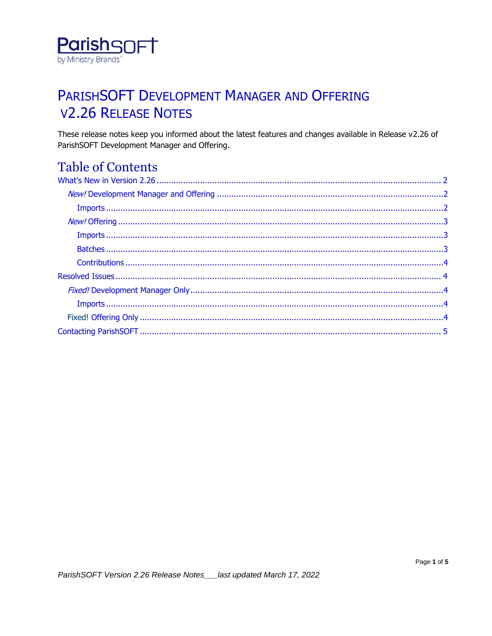

# PARISHSOFT DEVELOPMENT MANAGER AND OFFERING **V2.26 RELEASE NOTES**

These release notes keep you informed about the latest features and changes available in Release v2.26 of ParishSOFT Development Manager and Offering.

## **Table of Contents**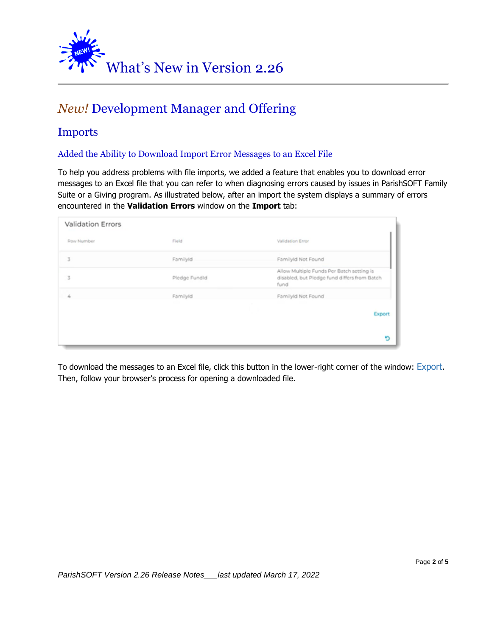<span id="page-1-0"></span>

## <span id="page-1-1"></span>*New!* Development Manager and Offering

### <span id="page-1-2"></span>Imports

#### Added the Ability to Download Import Error Messages to an Excel File

To help you address problems with file imports, we added a feature that enables you to download error messages to an Excel file that you can refer to when diagnosing errors caused by issues in ParishSOFT Family Suite or a Giving program. As illustrated below, after an import the system displays a summary of errors encountered in the **Validation Errors** window on the **Import** tab:

| <b>Validation Errors</b> |               |                                                                                                   |
|--------------------------|---------------|---------------------------------------------------------------------------------------------------|
| Row Number               | Field         | Validation Error                                                                                  |
| 3                        | FamilyId      | FamilyId Not Found                                                                                |
| 3                        | Piedge Fundid | Allow Multiple Funds Per Batch setting is<br>disabled, but Pledge fund differs from Batch<br>fund |
| 4                        | FamilyId      | FamilyId Not Found                                                                                |
|                          |               | Export                                                                                            |
|                          |               | ю                                                                                                 |

To download the messages to an Excel file, click this button in the lower-right corner of the window: Export. Then, follow your browser's process for opening a downloaded file.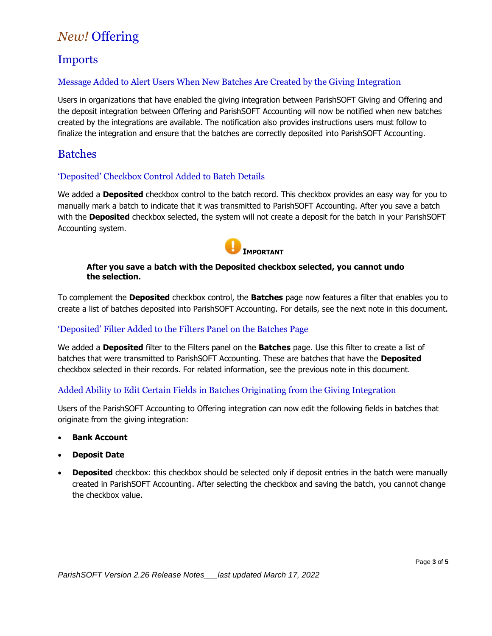## <span id="page-2-0"></span>*New!* Offering

### <span id="page-2-1"></span>Imports

#### Message Added to Alert Users When New Batches Are Created by the Giving Integration

Users in organizations that have enabled the giving integration between ParishSOFT Giving and Offering and the deposit integration between Offering and ParishSOFT Accounting will now be notified when new batches created by the integrations are available. The notification also provides instructions users must follow to finalize the integration and ensure that the batches are correctly deposited into ParishSOFT Accounting.

### <span id="page-2-2"></span>Batches

#### 'Deposited' Checkbox Control Added to Batch Details

We added a **Deposited** checkbox control to the batch record. This checkbox provides an easy way for you to manually mark a batch to indicate that it was transmitted to ParishSOFT Accounting. After you save a batch with the **Deposited** checkbox selected, the system will not create a deposit for the batch in your ParishSOFT Accounting system.



#### **After you save a batch with the Deposited checkbox selected, you cannot undo the selection.**

To complement the **Deposited** checkbox control, the **Batches** page now features a filter that enables you to create a list of batches deposited into ParishSOFT Accounting. For details, see the next note in this document.

#### 'Deposited' Filter Added to the Filters Panel on the Batches Page

We added a **Deposited** filter to the Filters panel on the **Batches** page. Use this filter to create a list of batches that were transmitted to ParishSOFT Accounting. These are batches that have the **Deposited** checkbox selected in their records. For related information, see the previous note in this document.

#### Added Ability to Edit Certain Fields in Batches Originating from the Giving Integration

Users of the ParishSOFT Accounting to Offering integration can now edit the following fields in batches that originate from the giving integration:

- **Bank Account**
- **Deposit Date**
- **Deposited** checkbox: this checkbox should be selected only if deposit entries in the batch were manually created in ParishSOFT Accounting. After selecting the checkbox and saving the batch, you cannot change the checkbox value.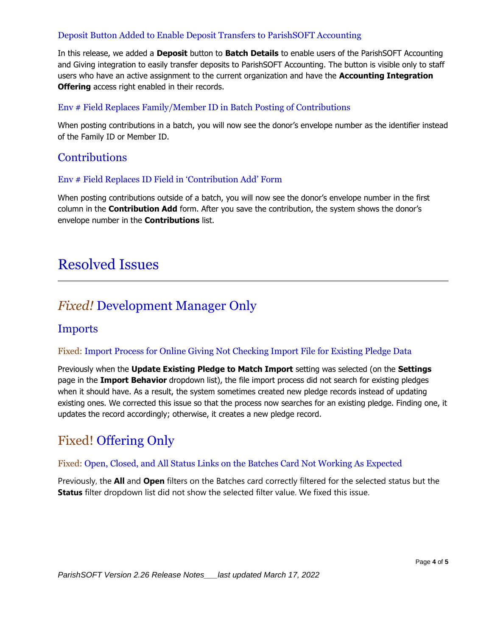#### Deposit Button Added to Enable Deposit Transfers to ParishSOFT Accounting

In this release, we added a **Deposit** button to **Batch Details** to enable users of the ParishSOFT Accounting and Giving integration to easily transfer deposits to ParishSOFT Accounting. The button is visible only to staff users who have an active assignment to the current organization and have the **Accounting Integration Offering** access right enabled in their records.

#### Env # Field Replaces Family/Member ID in Batch Posting of Contributions

When posting contributions in a batch, you will now see the donor's envelope number as the identifier instead of the Family ID or Member ID.

### <span id="page-3-0"></span>**Contributions**

#### Env # Field Replaces ID Field in 'Contribution Add' Form

When posting contributions outside of a batch, you will now see the donor's envelope number in the first column in the **Contribution Add** form. After you save the contribution, the system shows the donor's envelope number in the **Contributions** list.

## <span id="page-3-1"></span>Resolved Issues

### <span id="page-3-2"></span>*Fixed!* Development Manager Only

#### <span id="page-3-3"></span>Imports

#### Fixed: Import Process for Online Giving Not Checking Import File for Existing Pledge Data

Previously when the **Update Existing Pledge to Match Import** setting was selected (on the **Settings**  page in the **Import Behavior** dropdown list), the file import process did not search for existing pledges when it should have. As a result, the system sometimes created new pledge records instead of updating existing ones. We corrected this issue so that the process now searches for an existing pledge. Finding one, it updates the record accordingly; otherwise, it creates a new pledge record.

### <span id="page-3-4"></span>Fixed! Offering Only

#### Fixed: Open, Closed, and All Status Links on the Batches Card Not Working As Expected

Previously, the **All** and **Open** filters on the Batches card correctly filtered for the selected status but the **Status** filter dropdown list did not show the selected filter value. We fixed this issue.